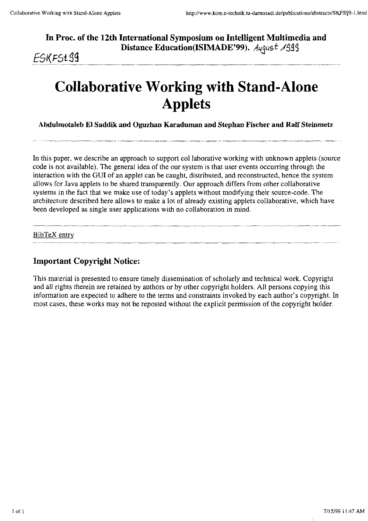**In Proc. of the 12th International Symposium on Intelligent Multimedia and <sup>m</sup>** Distance Education(ISIMADE'99). August 1999

**E**SKFSt99

# **Collaborative Working with Stand-Alone Applets**

**Ahdulrnotaleh EI Saddik and Oguzhan Karadurnan and Stephan Fischer and Ralf Steinmetz** 

In this paper, we describe an approach to support col laborative working with unknown applets (source code is not available). The general idea of the our system is that user events occurring through the interaction witb the GUI of an applet can be caught, distributed, and reconstructed, hence the system allows for Java applets to be shared transparently. Our approach differs from other collaborative Systems in the fact that we make use of today's applets without modifying their source-code. The architectiure described here allows to make a lot of already existing applets collaborative, which have been developed as single user applications with no collaboration in mind.

 $BibTeX$  entry

## **1mportant Copyright Notice:**

This material is presented to ensure timely dissemination of scholarly and technical work. Copyright and all rights therein are retained by authors or by other copyright holders. All persons copying this informaiion are expected to adhere to the terms and constraints invoked by each author's copyright. In most cases, these works may not be reposted without the explicit perrnission of the copyright holder.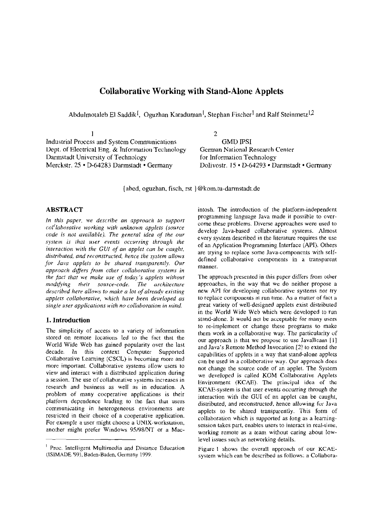## **Collaborative Working with Stand-Alone Applets**

Abdulmotaleb El Saddik<sup>[</sup>, Oguzhan Karaduman<sup>]</sup>, Stephan Fischer<sup>]</sup> and Ralf Steinmetz<sup>[2]</sup>

| Industrial Process and System Communications         | GMD IPSI                                      |
|------------------------------------------------------|-----------------------------------------------|
| Dept. of Electrical Eng. $\&$ Information Technology | German National Research Center               |
| Darmstadt University of Technology                   | for Information Technology                    |
| Merckstr. 25 • D-64283 Darmstadt • Germany           | Dolivostr. 15 • D-64293 • Darmstadt • Germany |

{abed, oguzhan, fisch, rst }@kom.tu-darmstadt.de

## **ABSTRACT**

In this paper, we describe an approach to support col'laborative working with unknown applets (source code is not available). The general idea of the our system is that user events occurring through the interaction with the GUI of an applet can be caught. distributed, and reconstructed, hence the system allows for Java applets to be shared transparently. Our approach differs from other collaborative systems in the fact that we make use of today's applets without modifying their source-code. The architecture described here allows to make a lot of already existing applets collaborative, which have been developed as single user applications with no collaboration in mind.

#### 1. Introduction

The simplicity of access to a variety of information stored on remote locations led to the fact that the World Wide Web has gained popularity over the last decade. In this context Computer Supported Collaborative Learning (CSCL) is becoming more and more important. Collaborative systems allow users to view and interact with a distributed application during a session. The use of collaborative systems increases in research and business as well as in education. A problem of many cooperative applications is their platform dependence leading to the fact that users communicating in heterogeneous environments are restricted in their choice of a cooperative application. For example a user might choose a UNIX-workstation, another might prefer Windows 95/98/NT or a Macintosh. The introduction of the platform-independent programming language Java made it possible to overcome these problems. Diverse approaches were used to develop Java-based collaborative systems. Almost every system described in the literature requires the use of an Application Programming Interface (API). Others are trying to replace some Java-components with selfdefined collaborative components in a transparent manner.

The approach presented in this paper differs from other approaches, in the way that we do neither propose a new API for developing collaborative systems nor try to replace components at run time. As a matter of fact a great variety of well-designed applets exist distributed in the World Wide Web which were developed to run stand-alone. It would not be acceptable for many users to re-implement or change these programs to make them work in a collaborative way. The particularity of our approach is that we propose to use JavaBeans [1] and Java's Remote Method Invocation [2] to extend the capabilities of applets in a way that stand-alone applets can be used in a collaborative way. Our approach does not change the source code of an applet. The System we developed is called KOM Collaborative Applets Environment (KCAE). The principal idea of the KCAE-system is that user events occurring through the interaction with the GUI of an applet can be caught, distributed, and reconstructed, hence allowing for Java applets to be shared transparently. This form of collaboration which is supported as long as a learningsession takes part, enables users to interact in real-time, working remote as a team without caring about lowlevel issues such as networking details.

Figure 1 shows the overall approach of our KCAEsystem which can be described as follows: a Collabora-

<sup>&</sup>lt;sup>1</sup> Proc. Intelligent Multimedia and Distance Education (ISIMADE 99), Baden-Baden, Germany 1999.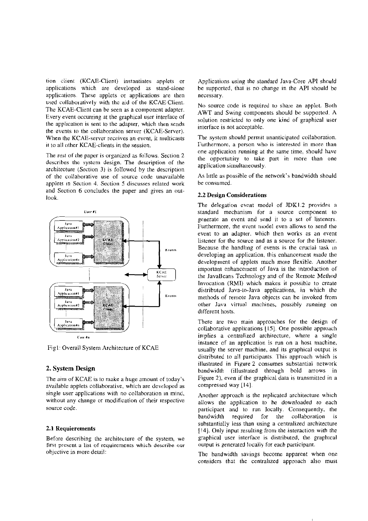tion client (KCAE-Client) instantiates applets or applications which are developed as stand-alone applications. These applets or applications are then used collaboratively with the aid of the KCAE-Client. The KCAE-Client can be seen as a component adapter. Every event occurring at the graphical user interface of the application is sent to the adapter, which then sends the events to the collaboration server (KCAE-Server). When the KCAE-server receives an event, it multicasts it to all other KCAE-clients in the session.

The rest of the paper is organized as follows. Section 2 describes the system design. The description of the architecture (Section 3) is followed by the description of the collaborative use of source code unavailable applets in Section 4. Section 5 discusses related work and Section 6 concludes the paper and gives an outlook.



Fig1: Overall System Architecture of KCAE

#### 2. System Design

The aim of KCAE is to make a huge amount of today's available applets collaborative, which are developed as single user applications with no collaboration in mind, without any change or modification of their respective source code.

#### 2.1 Requierements

Before describing the architecture of the system, we first present a list of requirements which describe our objective in more detail:

Applications using the standard Java-Core API should be supported, that is no change in the API should be necessary.

No source code is required to share an applet. Both AWT and Swing components should be supported. A solution restricted to only one kind of graphical user interface is not acceptable.

The system should permit unanticipated collaboration. Furthermore, a person who is interested in more than one application running at the same time, should have the opportunity to take part in more than one application simultaneously.

As little as possible of the network's bandwidth should be consumed.

#### 2.2 Design Considerations

The delegation event model of JDK1.2 provides a standard mechanism for a source component to generate an event and send it to a set of listeners. Furthermore, the event model even allows to send the event to an adapter, which then works as an event listener for the source and as a source for the listener. Because the handling of events is the crucial task in developing an application, this enhancement made the development of applets much more flexible. Another important enhancement of Java is the introduction of the JavaBeans Technology and of the Remote Method Invocation (RMI) which makes it possible to create distributed Java-to-Java applications, in which the methods of remote Java objects can be invoked from other Java virtual machines, possibly running on different hosts.

There are two main approaches for the design of collaborative applications [15]. One possible approach implies a centralized architecture, where a single instance of an application is run on a host machine, usually the server machine, and its graphical output is distributed to all participants. This approach which is illustrated in Figure 2 consumes substantial network bandwidth (illustrated through bold arrows in Figure 2), even if the graphical data is transmitted in a compressed way [14].

Another approach is the replicated architecture which allows the application to be downloaded to each participant and to run Iocally. Consequently, the bandwidth required for the collaboration  $i<sub>S</sub>$ substantially less than using a centralized architecture [14]. Only input resulting from the interaction with the graphical user interface is distributed, the graphical output is generated locally for each participant.

The bandwidth savings become apparent when one considers that the centralized approach also must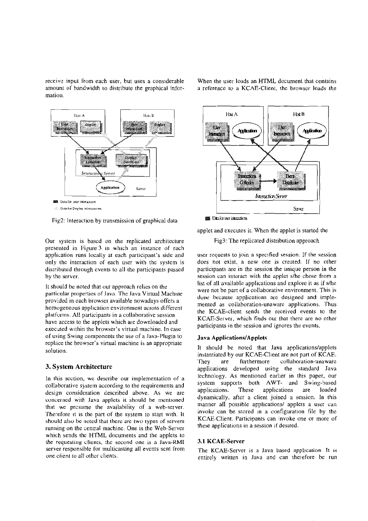receive input from each user, but uses a considerable amount of bandwidth to distribute the graphical information.





**E.** Data for Display informations

Fig2: Interaction by transmission of graphical data

Our system is bascd on rhe replicated architecture presented in Figure **3** in which an instance of each application runs locally at each participant's side and only the interaction of each User with thc system is distributed through cvents to all the participants passcd by the server.

It should be noted that our approach relies on the particular properties of Java The lava Viriual Machine provided in each browscr available nowadays offers a homogeneous application environment across different platforms. All participants in a collaborative session have access to the applets which are downloaded and executed within the browser's virtual machine. In case of using Swing components the use of a Java-Plugin to replace the browser's virtual machine is an appropriate solution.

#### **3. System Architecture**

In this scction, wc describe our implernentation of a collaborative System according to the requirements and design consideration described above. As we are concerned with Java applets it should be mentioned that we prcsume the availability of a web-server. Therefore it is the part of the system to start with. It should also be noted that there are two types of servers running on the central machine. One is the Web-Server which sends the HTML documents and the applets to the requesting clients. thc sccond onc is a Java-RMI server responsible for multicasting all events sent from one clienl to all othcr clients.

HNB Hu A  $\mathbf{u}$ .<br>album Application Agdication hexten Interaction **INCZOCK** First. Chloder **Listnia der** 



applet and cxecutes it. When the applet is started the

Fig3: The replicated distribution approach

*Interaction Server* 

Sava

uscr rcqucsts to join a specified session. If the session does not exist, a new one is created. If no other participants are in the session the unique person in the session can interact with the applet s/he chose from a list of all available applications and explore it as if s/he were not be parr of a collaborative environment. This is done because applications are designed and implemented as collaboration-unaware applications. Thus the KCAE-client sends the received events to the KCAE-Scrvei, which finds out that there are no other participants in the session and ignores the events.

#### **Java Applications/Applets**

It should be noted that Java applications/applets instantiated by our KCAE-Client are not part of KCAE. They are furthermore collaboration-unaware appIications developed using the standard Java technology. As mentioned earlier in this Paper, our system supports both AWT- and Swing-based applications. These applications are loaded dynamically. after a client joined a session. In this manner all possible applications/ applets a user can invoke can be stored in a configuration file by the KCAE-Client. Participants can invoke one or more of these applications in a session if desired.

#### **3.1 KCAE-Server**

The KCAE-Server is a Java based application. I1 **is**  entirely written in Java and can therefore be run

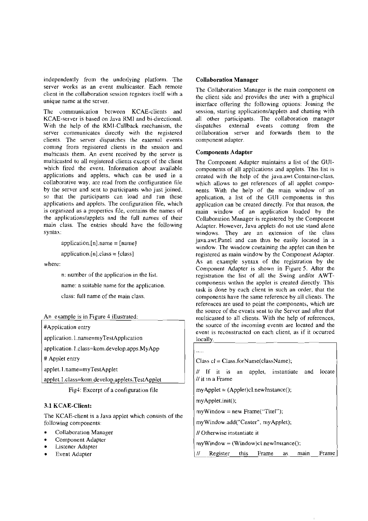independently from the underlying platform. The server works as an event multicaster. Each remote client in the collaboration session registers itself with a unique name at the server.

The communication between KCAE-clients and KCAE-server is based on Java RMI and bi-directional. With the help of the RMI-Callback mechanism, the server communicates directly with the registered clients. The server dispatches the external events comine from registered clients in the session and multicasts them. An event received by ihe server is multicasted to all registered clients except of the client which fired the event. Information about available applications and applets, which can be used in a collaborative way, are read from the configuration file by the server and sent to parricipants who just joined. so that the participants can load and run these applications and applets. The configuration file, which is orgsnized as a propertics file. contains the names of the applications/applets and the full names of their main class. The eniries should have the following syntax:

application.[n]  $name = [name]$ 

 $application.[n].class = [class]$ 

where:

n: number **of** the applicarion in the list

name: a suitable name for the application.

class: full name of the main class.

An example is in Figure 4 illustrated:

#Application entry

application. 1 .name=myTestApplication

application. I .class=kom.develop.apps.MyApp

# Applet entry

applet. l .name=niyTestApplet

applet. 1.class=kom.develop.applets.TestApplet

Fig4: Excerpt of a configuration file

## 3.1 KCAE-Client:

The KCAE-client is a Java applet which consists of the following components:

- Collaboration Manager
- Componcnt Adapter
- Listener Adapter • Component Ad<br>• Listener Adapter<br>• Event Adapter
- 

#### **Collaboration Manager**

The Collaboration Manager is the main component on ihe client side and provides the User with a graphical interface offering the following options: Joining the session, starting applicationslapplets and chatting with all other participants. The collaboration manager<br>dispatches external events coming from the dispatches external events coming from the collaboration server and forwards them to the component adapter.

#### Components Adapter

The Component Adapter maintains a list of the GUIcomponents of all applications and applets. This list is created with ihe help of the **java.awt.Container-class.**  which allows to get references of all applet components. With the help **OE** the main window of an application, a list of the GUI components in this application can be created directly. For that reason, the main window of an application loaded by the Collaboration Manager is registered by the Component Adapter. However, Java applets do not use stand alone windows. They are an extension of the class java.awt.Panel and can thus be easily located in a window. The window containing the applet can ihen be registered as main window by the Component Adapter. As an example syntax of the registration by the Component Adapter is shown in Figure 5. After the registration the list of all the Swing andlor AWTcomponenrs within the applet is created directly. This task is done by each client in such an order, that the components have the same reference by all clients. The references are used to point the components, which are the source of the events sent to the Server and afier that multicasted to all clients. With the help of references, the source of the incoming events are located and the event is reconstructed on each client. as if it occurred locally.

#### .....

Class  $cl = Class.format(className);$ 

*I1* If it is an applet, instantiate and locate  $11$  it in a Frame

 $myApplet = (Applet)cl.newInstance();$ 

myApplet.init();

 $myWindow = new Frame("Titel");$ 

myWindow.add("Center", myApplet);

// Otherwise instantiate it

 $myWindow = (Window)c1 newInstance();$ 

 $II$  Register this Frame as main Frame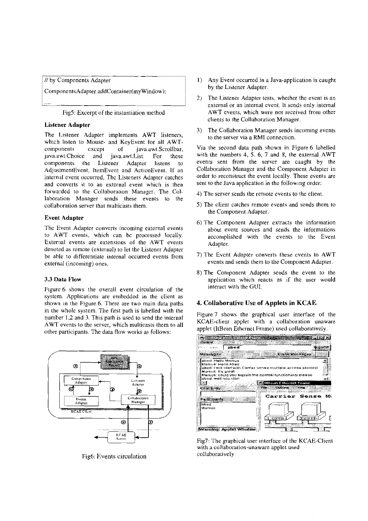V by Components Adapter 1)<br>Components Adapter.addContainer(myWindow);

Fig5: Excerpt of the instantiation meihod

#### Listener Adapter

The Lisiener Adapter implements AWT listeners, which listen to Mouse- and KeyEvent for all AWTcomponents cxcept of java.awt.Scrollbar, java.awt.Choice and java.awt.List. For these coniponents the Listener Adapter listens to AdjustmenrEvent, ItemEvent and ActionEvent. 1f an internal event occurred. The Listeners Adapter catches and converts it to an external event which is then forwarded to the Collaboration Managcr. The CoIlaboration Manager sends these events to the collaborarion server ihat multicasts them.

#### Event Adapter

Thc Event Adapter converts incoming external evenis to A'WT events, which can bc processed locally. External events are cxtensions of the AWT events denoted as remote (external) to let the Listener Adapter be able to differentiate internal occurred events from external (incoming) ones.

#### **3.3** Data **Flow**

Figure 6 shows the overall event circulation of the system. Applications are embedded in the client as shown in the Figure 6. There are two main data paths in the whole system. The first path is labelled with the number 1,2 and 3. This path is used to send the internal AWT events io the server, which multicasts ihem to all other pariicipants. The data tlow woiks as follows:



Fig6: Events circulation

- Any Event occurred in a Java-application is caught by the Listener Adapter.
- The Listener Adapter tests, whether the event is an external or an internal event. It sends only internal AWT events, which were not received from other clients to the Collaboration Manager.
- 3) The Collaboration Manager sends incoming events to the server via a RMI connection.

Via the second data path shown in Figure 6 lahelled with the numbers 4, **5.** 6, 7 and 8, the external AWT events sent from the servcr are caught by the Collaboration Manager and the Component Adapter in order to reconstruct ihe event locally, These events are sent to the Java application in the following order:

- 4) The server sends the remote events to the client.
- 5) The client catches remote events and sends them to the Component Adapter.
- 6) The Componenr Adapter extracis thc information about event sources and sends the informations accomplished with the events to the Event Adapter.
- 7) The Evcnt Adapter converts these cvents to AWT events and sends them to the Component Adapter.
- B) The Component Adapter sends the event to the application which reacts as if the user would interact with the GUI.

## **4. Collaborative Use of** Applets **in** KCAE

Figure 7 shows the graphical user interface of the KCAE-client applet with a collaboration unaware applet (ItBean Ethernet Frame) used collaboratively.



Fig7: The graphical user interface of the KCAE-Client with a collaboration-unaware applet used collaboratively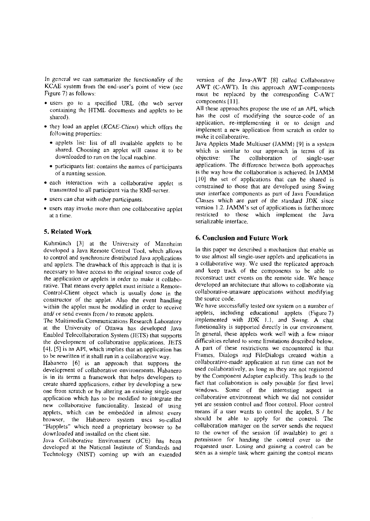In general we can summarize the functionality of the KCAE system from the end-user's poini of view (see Figure 7) as follows:

- users go to a specified URL (the web server containing the HTML documents and applets to be shared).
- they load an applet *(KCAE-Client)* which offers the following properties:
	- applets list: list of all available applets to he shared. Choosing an applet will cause it to be downloaded to run on the local machine.
	- participants list: contains the names of participants ot'a running session.
- each interaction with a collaborative applet 1s transmitted to all participant via the RMI-server.
- **users can chat with other participants.**
- users may invoke more than one collaborative applet at a time.

#### **5. Related Work**

Kuhmünch **[1]** at the University of Mannheim developed a Java Remote Control Tool, which allows to control and synchronize disrrihuted Java applications and applets. The drawback of this approach is that it is necessary to have access to the original source code of the application or applets in order to make it collaborative. That means every applet must initiate a Remote-Control-Client object which is usually done in the construclor of the applet. AIso the event handling within the applet must be modified in order to receive and/ or send events from / to remote applets.

The Multimedia Communications Research Laboratory at the University of Ottawa has developed Java Enabled Telecollaboration System (JETS) that supports the development of collaborative applications. JETS  $[4]$ ,  $[5]$  is an API, which implies that an application has to be rewritten if it shall run in a collaborative way.

Habanero [6] is an approach that supports the development of collaborative environments. Hahanero is in its terms a framework that helps developers to create shared applications, either by developing a new one from scratch or by altering an existing single-user application which has to be modified to integrate the new collahorative functionaIity. Instead of using applets, which can be embedded in almost every browscr, the Habanero system uscs so-called "Happlets" which need a proprietary hrowser to be downloaded and installed on the client site.

Java Collaborative Environment (JCE) has been develioped at the National Institute of Standards and Technology (NIST) coming up with an extended

version of the Java-AWT [8] called Collaborative AWT (C-AWT). In this approach AWT-components must be replaced hy ihe corresponding C-AWT components [11].

All these approaches propose the use of an API, which has the cost of modifying the source-code of an application, re-implementing it or to design and implement a new application from scratch in order to make it collaborative.

Java Applets Made Multiuser (JAMM) [9] is a system which is similar to our approach in terms of its ohjective: The collahoration of single-user applications. The difference hetween both approaches is the way how the collahoraiion is achieved. In JAMM [I01 the set of applications that can be shared is constrained to those that are developed using Swing user interface components as part of Java Foundation Classes which are part of the standard JDK since version 1.2. JAMM's set of applications is furthermore restricted io those which implement the Java serializable interface.

#### **6. Conclusion and Future Work**

In this paper we described a mechanism that enable us to use almost all single-user applets and applicaiions in a collaborative way. We used the replicated approach and keep uack of the components to he able to reconstruct user events on the remote side. We hence developed an architecture that allows to collaborate via collahorative-unaware applications without modifying the source code.

We have successfully tested our system on a number of applets, including educational applets (Figure 7) implemented with JDK 1.1, and Swing. A chat funetionaliiy is supported directly in our environment. In general, these applets work well with a few minor difficulties related to some limitations described below. **A** part of these restrictions we encountered is that Frames, Dialogs and FileDialogs created within a collahorative-made application at run time can not be used collaboratively, as long as they are not registered by the Component Adapter explicitly. This leads to the fact that collaboration is only possible for first level windows. Some of the interesting aspect in collaborative environment which we did noi consider yet are session control and floor conrrol. Floor control means if a user wants to control the appIet, S / he should be able to apply for the control. The collahoration mannger on the server sends the request to the owner of the session (if available) to get a permission for handing the control over to the requesred User. Lusing and gaining **a** conirol can be seen as a simple task where gaining ihe control means